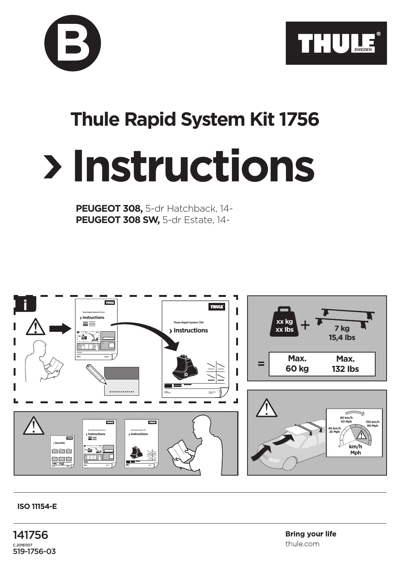



## **Thule Rapid System Kit 1756**

## **Instructions**

**PEUGEOT 308,** 5-dr Hatchback, 14- **PEUGEOT 308 SW,** 5-dr Estate, 14-



## **ISO 11154-E**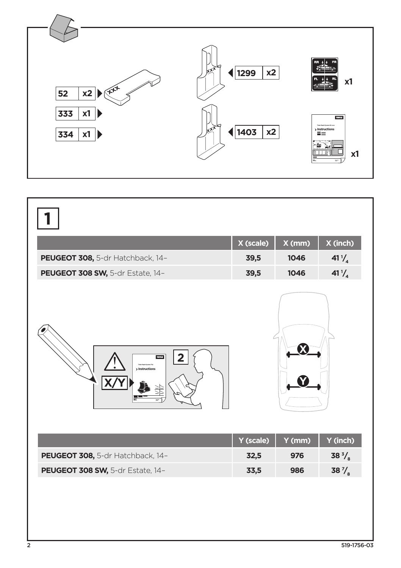

|                                  | X (scale) | X (mm) | X (inch)         |
|----------------------------------|-----------|--------|------------------|
| PEUGEOT 308, 5-dr Hatchback, 14- | 39,5      | 1046   | $41\frac{1}{4}$  |
| PEUGEOT 308 SW, 5-dr Estate, 14- | 39,5      | 1046   | 41 $\frac{1}{4}$ |
| THULK<br>2<br>> Instructions     |           |        |                  |
|                                  | Y (scale) | Y (mm) | Y (inch)         |
| PEUGEOT 308, 5-dr Hatchback, 14- | 32,5      | 976    | 38 $\frac{3}{8}$ |
| PEUGEOT 308 SW, 5-dr Estate, 14- | 33,5      | 986    | 38 $\frac{7}{8}$ |
|                                  |           |        |                  |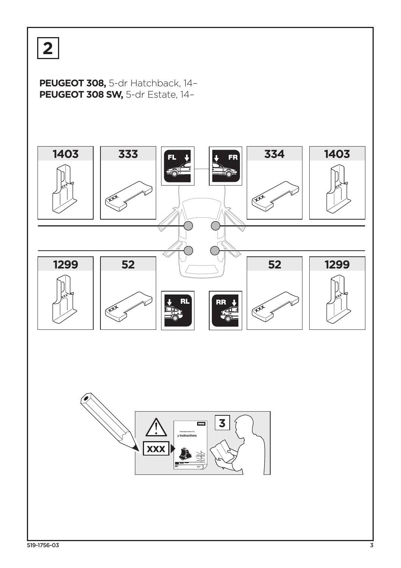